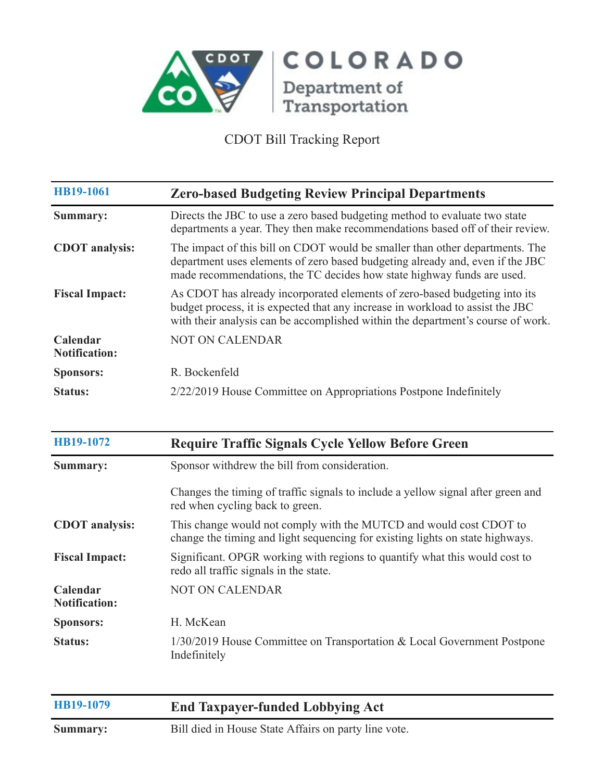

| HB19-1061                        | <b>Zero-based Budgeting Review Principal Departments</b>                                                                                                                                                                                        |
|----------------------------------|-------------------------------------------------------------------------------------------------------------------------------------------------------------------------------------------------------------------------------------------------|
| Summary:                         | Directs the JBC to use a zero based budgeting method to evaluate two state<br>departments a year. They then make recommendations based off of their review.                                                                                     |
| <b>CDOT</b> analysis:            | The impact of this bill on CDOT would be smaller than other departments. The<br>department uses elements of zero based budgeting already and, even if the JBC<br>made recommendations, the TC decides how state highway funds are used.         |
| <b>Fiscal Impact:</b>            | As CDOT has already incorporated elements of zero-based budgeting into its<br>budget process, it is expected that any increase in workload to assist the JBC<br>with their analysis can be accomplished within the department's course of work. |
| Calendar<br><b>Notification:</b> | <b>NOT ON CALENDAR</b>                                                                                                                                                                                                                          |
| <b>Sponsors:</b>                 | R. Bockenfeld                                                                                                                                                                                                                                   |
| <b>Status:</b>                   | 2/22/2019 House Committee on Appropriations Postpone Indefinitely                                                                                                                                                                               |

| HB19-1072                        | <b>Require Traffic Signals Cycle Yellow Before Green</b>                                                                                            |
|----------------------------------|-----------------------------------------------------------------------------------------------------------------------------------------------------|
| Summary:                         | Sponsor withdrew the bill from consideration.                                                                                                       |
|                                  | Changes the timing of traffic signals to include a yellow signal after green and<br>red when cycling back to green.                                 |
| <b>CDOT</b> analysis:            | This change would not comply with the MUTCD and would cost CDOT to<br>change the timing and light sequencing for existing lights on state highways. |
| <b>Fiscal Impact:</b>            | Significant. OPGR working with regions to quantify what this would cost to<br>redo all traffic signals in the state.                                |
| Calendar<br><b>Notification:</b> | <b>NOT ON CALENDAR</b>                                                                                                                              |
| <b>Sponsors:</b>                 | H. McKean                                                                                                                                           |
| <b>Status:</b>                   | $1/30/2019$ House Committee on Transportation & Local Government Postpone<br>Indefinitely                                                           |
| HB19-1079                        | <b>End Taxpayer-funded Lobbying Act</b>                                                                                                             |

**Summary:** Bill died in House State Affairs on party line vote.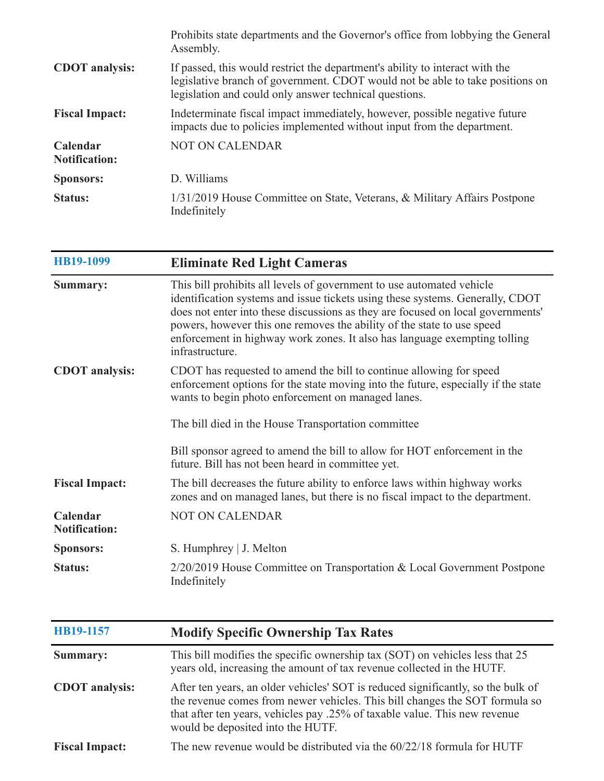|                                  | Prohibits state departments and the Governor's office from lobbying the General<br>Assembly.                                                                                                                            |
|----------------------------------|-------------------------------------------------------------------------------------------------------------------------------------------------------------------------------------------------------------------------|
| <b>CDOT</b> analysis:            | If passed, this would restrict the department's ability to interact with the<br>legislative branch of government. CDOT would not be able to take positions on<br>legislation and could only answer technical questions. |
| <b>Fiscal Impact:</b>            | Indeterminate fiscal impact immediately, however, possible negative future<br>impacts due to policies implemented without input from the department.                                                                    |
| Calendar<br><b>Notification:</b> | <b>NOT ON CALENDAR</b>                                                                                                                                                                                                  |
| <b>Sponsors:</b>                 | D. Williams                                                                                                                                                                                                             |
| <b>Status:</b>                   | 1/31/2019 House Committee on State, Veterans, & Military Affairs Postpone<br>Indefinitely                                                                                                                               |

| HB19-1099                        | <b>Eliminate Red Light Cameras</b>                                                                                                                                                                                                                                                                                                                                                                                  |
|----------------------------------|---------------------------------------------------------------------------------------------------------------------------------------------------------------------------------------------------------------------------------------------------------------------------------------------------------------------------------------------------------------------------------------------------------------------|
| <b>Summary:</b>                  | This bill prohibits all levels of government to use automated vehicle<br>identification systems and issue tickets using these systems. Generally, CDOT<br>does not enter into these discussions as they are focused on local governments'<br>powers, however this one removes the ability of the state to use speed<br>enforcement in highway work zones. It also has language exempting tolling<br>infrastructure. |
| <b>CDOT</b> analysis:            | CDOT has requested to amend the bill to continue allowing for speed<br>enforcement options for the state moving into the future, especially if the state<br>wants to begin photo enforcement on managed lanes.                                                                                                                                                                                                      |
|                                  | The bill died in the House Transportation committee                                                                                                                                                                                                                                                                                                                                                                 |
|                                  | Bill sponsor agreed to amend the bill to allow for HOT enforcement in the<br>future. Bill has not been heard in committee yet.                                                                                                                                                                                                                                                                                      |
| <b>Fiscal Impact:</b>            | The bill decreases the future ability to enforce laws within highway works<br>zones and on managed lanes, but there is no fiscal impact to the department.                                                                                                                                                                                                                                                          |
| Calendar<br><b>Notification:</b> | <b>NOT ON CALENDAR</b>                                                                                                                                                                                                                                                                                                                                                                                              |
| <b>Sponsors:</b>                 | S. Humphrey   J. Melton                                                                                                                                                                                                                                                                                                                                                                                             |
| <b>Status:</b>                   | 2/20/2019 House Committee on Transportation & Local Government Postpone<br>Indefinitely                                                                                                                                                                                                                                                                                                                             |

| HB19-1157             | <b>Modify Specific Ownership Tax Rates</b>                                                                                                                                                                                                                                         |
|-----------------------|------------------------------------------------------------------------------------------------------------------------------------------------------------------------------------------------------------------------------------------------------------------------------------|
| <b>Summary:</b>       | This bill modifies the specific ownership tax (SOT) on vehicles less that 25<br>years old, increasing the amount of tax revenue collected in the HUTF.                                                                                                                             |
| <b>CDOT</b> analysis: | After ten years, an older vehicles' SOT is reduced significantly, so the bulk of<br>the revenue comes from newer vehicles. This bill changes the SOT formula so<br>that after ten years, vehicles pay .25% of taxable value. This new revenue<br>would be deposited into the HUTF. |
| <b>Fiscal Impact:</b> | The new revenue would be distributed via the 60/22/18 formula for HUTF                                                                                                                                                                                                             |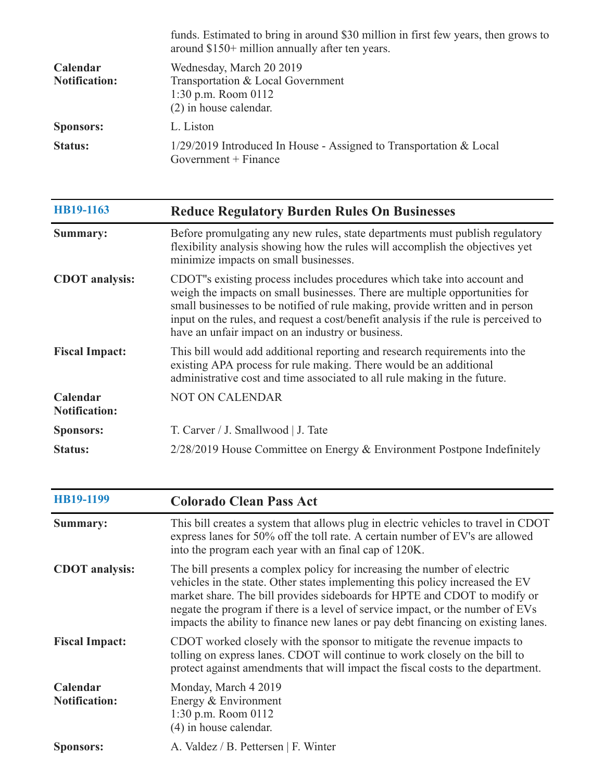|                                  | funds. Estimated to bring in around \$30 million in first few years, then grows to<br>around \$150+ million annually after ten years. |
|----------------------------------|---------------------------------------------------------------------------------------------------------------------------------------|
| Calendar<br><b>Notification:</b> | Wednesday, March 20 2019<br>Transportation & Local Government<br>1:30 p.m. Room $0112$<br>$(2)$ in house calendar.                    |
| <b>Sponsors:</b>                 | L. Liston                                                                                                                             |
| <b>Status:</b>                   | 1/29/2019 Introduced In House - Assigned to Transportation & Local<br>Government $+$ Finance                                          |

| HB19-1163                        | <b>Reduce Regulatory Burden Rules On Businesses</b>                                                                                                                                                                                                                                                                                                                                 |
|----------------------------------|-------------------------------------------------------------------------------------------------------------------------------------------------------------------------------------------------------------------------------------------------------------------------------------------------------------------------------------------------------------------------------------|
| Summary:                         | Before promulgating any new rules, state departments must publish regulatory<br>flexibility analysis showing how the rules will accomplish the objectives yet<br>minimize impacts on small businesses.                                                                                                                                                                              |
| <b>CDOT</b> analysis:            | CDOT"s existing process includes procedures which take into account and<br>weigh the impacts on small businesses. There are multiple opportunities for<br>small businesses to be notified of rule making, provide written and in person<br>input on the rules, and request a cost/benefit analysis if the rule is perceived to<br>have an unfair impact on an industry or business. |
| <b>Fiscal Impact:</b>            | This bill would add additional reporting and research requirements into the<br>existing APA process for rule making. There would be an additional<br>administrative cost and time associated to all rule making in the future.                                                                                                                                                      |
| Calendar<br><b>Notification:</b> | <b>NOT ON CALENDAR</b>                                                                                                                                                                                                                                                                                                                                                              |
| <b>Sponsors:</b>                 | T. Carver / J. Smallwood   J. Tate                                                                                                                                                                                                                                                                                                                                                  |
| <b>Status:</b>                   | $2/28/2019$ House Committee on Energy & Environment Postpone Indefinitely                                                                                                                                                                                                                                                                                                           |

| HB19-1199                        | <b>Colorado Clean Pass Act</b>                                                                                                                                                                                                                                                                                                                                                                                |
|----------------------------------|---------------------------------------------------------------------------------------------------------------------------------------------------------------------------------------------------------------------------------------------------------------------------------------------------------------------------------------------------------------------------------------------------------------|
| Summary:                         | This bill creates a system that allows plug in electric vehicles to travel in CDOT<br>express lanes for 50% off the toll rate. A certain number of EV's are allowed<br>into the program each year with an final cap of 120K.                                                                                                                                                                                  |
| <b>CDOT</b> analysis:            | The bill presents a complex policy for increasing the number of electric<br>vehicles in the state. Other states implementing this policy increased the EV<br>market share. The bill provides sideboards for HPTE and CDOT to modify or<br>negate the program if there is a level of service impact, or the number of EVs<br>impacts the ability to finance new lanes or pay debt financing on existing lanes. |
| <b>Fiscal Impact:</b>            | CDOT worked closely with the sponsor to mitigate the revenue impacts to<br>tolling on express lanes. CDOT will continue to work closely on the bill to<br>protect against amendments that will impact the fiscal costs to the department.                                                                                                                                                                     |
| Calendar<br><b>Notification:</b> | Monday, March 4 2019<br>Energy & Environment<br>1:30 p.m. Room 0112<br>(4) in house calendar.                                                                                                                                                                                                                                                                                                                 |
| <b>Sponsors:</b>                 | A. Valdez / B. Pettersen   F. Winter                                                                                                                                                                                                                                                                                                                                                                          |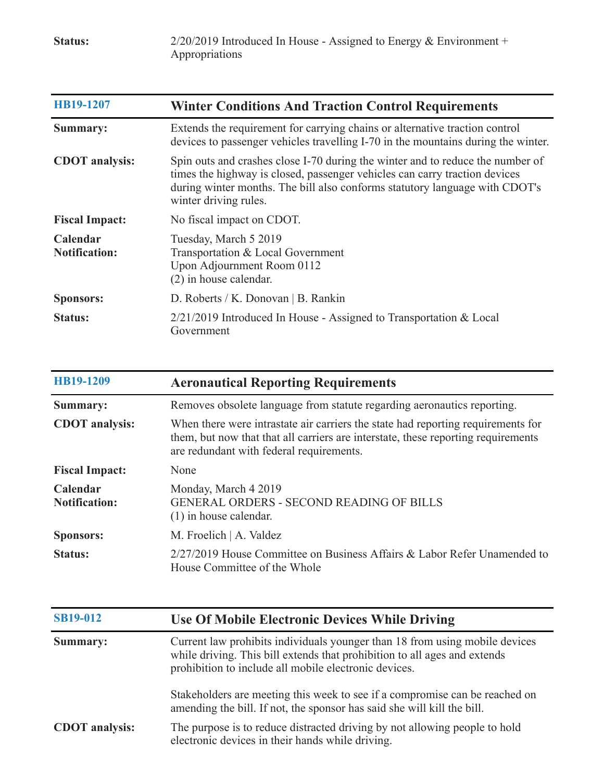| HB19-1207                        | <b>Winter Conditions And Traction Control Requirements</b>                                                                                                                                                                                                           |
|----------------------------------|----------------------------------------------------------------------------------------------------------------------------------------------------------------------------------------------------------------------------------------------------------------------|
| Summary:                         | Extends the requirement for carrying chains or alternative traction control<br>devices to passenger vehicles travelling I-70 in the mountains during the winter.                                                                                                     |
| <b>CDOT</b> analysis:            | Spin outs and crashes close I-70 during the winter and to reduce the number of<br>times the highway is closed, passenger vehicles can carry traction devices<br>during winter months. The bill also conforms statutory language with CDOT's<br>winter driving rules. |
| <b>Fiscal Impact:</b>            | No fiscal impact on CDOT.                                                                                                                                                                                                                                            |
| Calendar<br><b>Notification:</b> | Tuesday, March 5 2019<br>Transportation & Local Government<br>Upon Adjournment Room 0112<br>$(2)$ in house calendar.                                                                                                                                                 |
| <b>Sponsors:</b>                 | D. Roberts / K. Donovan   B. Rankin                                                                                                                                                                                                                                  |
| <b>Status:</b>                   | $2/21/2019$ Introduced In House - Assigned to Transportation & Local<br>Government                                                                                                                                                                                   |

| HB19-1209                        | <b>Aeronautical Reporting Requirements</b>                                                                                                                                                                        |
|----------------------------------|-------------------------------------------------------------------------------------------------------------------------------------------------------------------------------------------------------------------|
| Summary:                         | Removes obsolete language from statute regarding aeronautics reporting.                                                                                                                                           |
| <b>CDOT</b> analysis:            | When there were intrastate air carriers the state had reporting requirements for<br>them, but now that that all carriers are interstate, these reporting requirements<br>are redundant with federal requirements. |
| <b>Fiscal Impact:</b>            | None                                                                                                                                                                                                              |
| Calendar<br><b>Notification:</b> | Monday, March 4 2019<br><b>GENERAL ORDERS - SECOND READING OF BILLS</b><br>$(1)$ in house calendar.                                                                                                               |
| <b>Sponsors:</b>                 | M. Froelich   A. Valdez                                                                                                                                                                                           |
| <b>Status:</b>                   | $2/27/2019$ House Committee on Business Affairs & Labor Refer Unamended to<br>House Committee of the Whole                                                                                                        |

| <b>SB19-012</b>       | <b>Use Of Mobile Electronic Devices While Driving</b>                                                                                                                                                             |
|-----------------------|-------------------------------------------------------------------------------------------------------------------------------------------------------------------------------------------------------------------|
| Summary:              | Current law prohibits individuals younger than 18 from using mobile devices<br>while driving. This bill extends that prohibition to all ages and extends<br>prohibition to include all mobile electronic devices. |
|                       | Stakeholders are meeting this week to see if a compromise can be reached on<br>amending the bill. If not, the sponsor has said she will kill the bill.                                                            |
| <b>CDOT</b> analysis: | The purpose is to reduce distracted driving by not allowing people to hold<br>electronic devices in their hands while driving.                                                                                    |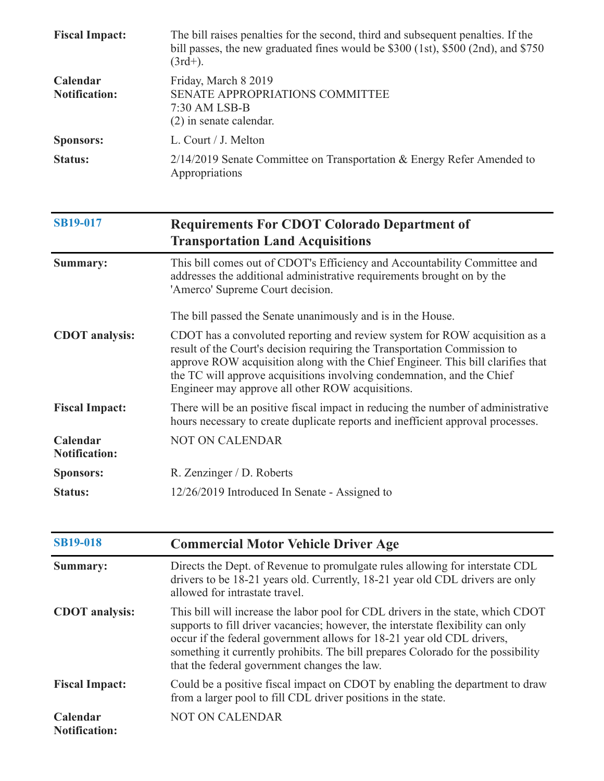| <b>Fiscal Impact:</b>            | The bill raises penalties for the second, third and subsequent penalties. If the<br>bill passes, the new graduated fines would be \$300 (1st), \$500 (2nd), and \$750<br>$(3rd+)$ .                                                                                                                                                                                      |
|----------------------------------|--------------------------------------------------------------------------------------------------------------------------------------------------------------------------------------------------------------------------------------------------------------------------------------------------------------------------------------------------------------------------|
| Calendar<br><b>Notification:</b> | Friday, March 8 2019<br>SENATE APPROPRIATIONS COMMITTEE<br>7:30 AM LSB-B<br>$(2)$ in senate calendar.                                                                                                                                                                                                                                                                    |
| <b>Sponsors:</b>                 | L. Court / J. Melton                                                                                                                                                                                                                                                                                                                                                     |
| <b>Status:</b>                   | 2/14/2019 Senate Committee on Transportation & Energy Refer Amended to<br>Appropriations                                                                                                                                                                                                                                                                                 |
| <b>SB19-017</b>                  | <b>Requirements For CDOT Colorado Department of</b><br><b>Transportation Land Acquisitions</b>                                                                                                                                                                                                                                                                           |
| Summary:                         | This bill comes out of CDOT's Efficiency and Accountability Committee and<br>addresses the additional administrative requirements brought on by the<br>'Amerco' Supreme Court decision.                                                                                                                                                                                  |
|                                  | The bill passed the Senate unanimously and is in the House.                                                                                                                                                                                                                                                                                                              |
| <b>CDOT</b> analysis:            | CDOT has a convoluted reporting and review system for ROW acquisition as a<br>result of the Court's decision requiring the Transportation Commission to<br>approve ROW acquisition along with the Chief Engineer. This bill clarifies that<br>the TC will approve acquisitions involving condemnation, and the Chief<br>Engineer may approve all other ROW acquisitions. |
| <b>Fiscal Impact:</b>            | There will be an positive fiscal impact in reducing the number of administrative<br>hours necessary to create duplicate reports and inefficient approval processes.                                                                                                                                                                                                      |
| Calendar<br><b>Notification:</b> | <b>NOT ON CALENDAR</b>                                                                                                                                                                                                                                                                                                                                                   |
| <b>Sponsors:</b>                 | R. Zenzinger / D. Roberts                                                                                                                                                                                                                                                                                                                                                |
| <b>Status:</b>                   | 12/26/2019 Introduced In Senate - Assigned to                                                                                                                                                                                                                                                                                                                            |
|                                  |                                                                                                                                                                                                                                                                                                                                                                          |

| <b>SB19-018</b>                  | <b>Commercial Motor Vehicle Driver Age</b>                                                                                                                                                                                                                                                                                                                                       |
|----------------------------------|----------------------------------------------------------------------------------------------------------------------------------------------------------------------------------------------------------------------------------------------------------------------------------------------------------------------------------------------------------------------------------|
| Summary:                         | Directs the Dept. of Revenue to promulgate rules allowing for interstate CDL<br>drivers to be 18-21 years old. Currently, 18-21 year old CDL drivers are only<br>allowed for intrastate travel.                                                                                                                                                                                  |
| <b>CDOT</b> analysis:            | This bill will increase the labor pool for CDL drivers in the state, which CDOT<br>supports to fill driver vacancies; however, the interstate flexibility can only<br>occur if the federal government allows for 18-21 year old CDL drivers,<br>something it currently prohibits. The bill prepares Colorado for the possibility<br>that the federal government changes the law. |
| <b>Fiscal Impact:</b>            | Could be a positive fiscal impact on CDOT by enabling the department to draw<br>from a larger pool to fill CDL driver positions in the state.                                                                                                                                                                                                                                    |
| Calendar<br><b>Notification:</b> | <b>NOT ON CALENDAR</b>                                                                                                                                                                                                                                                                                                                                                           |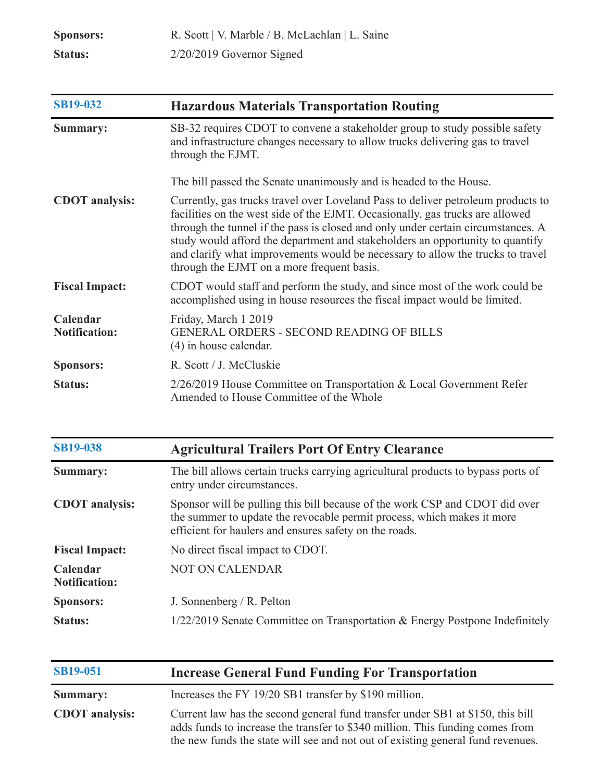| <b>Sponsors:</b> | R. Scott   V. Marble / B. McLachlan   L. Saine |
|------------------|------------------------------------------------|
| <b>Status:</b>   | $2/20/2019$ Governor Signed                    |

| <b>SB19-032</b>                  | <b>Hazardous Materials Transportation Routing</b>                                                                                                                                                                                                                                                                                                                                                                                                                      |
|----------------------------------|------------------------------------------------------------------------------------------------------------------------------------------------------------------------------------------------------------------------------------------------------------------------------------------------------------------------------------------------------------------------------------------------------------------------------------------------------------------------|
| <b>Summary:</b>                  | SB-32 requires CDOT to convene a stakeholder group to study possible safety<br>and infrastructure changes necessary to allow trucks delivering gas to travel<br>through the EJMT.                                                                                                                                                                                                                                                                                      |
|                                  | The bill passed the Senate unanimously and is headed to the House.                                                                                                                                                                                                                                                                                                                                                                                                     |
| <b>CDOT</b> analysis:            | Currently, gas trucks travel over Loveland Pass to deliver petroleum products to<br>facilities on the west side of the EJMT. Occasionally, gas trucks are allowed<br>through the tunnel if the pass is closed and only under certain circumstances. A<br>study would afford the department and stakeholders an opportunity to quantify<br>and clarify what improvements would be necessary to allow the trucks to travel<br>through the EJMT on a more frequent basis. |
| <b>Fiscal Impact:</b>            | CDOT would staff and perform the study, and since most of the work could be<br>accomplished using in house resources the fiscal impact would be limited.                                                                                                                                                                                                                                                                                                               |
| Calendar<br><b>Notification:</b> | Friday, March 1 2019<br><b>GENERAL ORDERS - SECOND READING OF BILLS</b><br>$(4)$ in house calendar.                                                                                                                                                                                                                                                                                                                                                                    |
| <b>Sponsors:</b>                 | R. Scott / J. McCluskie                                                                                                                                                                                                                                                                                                                                                                                                                                                |
| <b>Status:</b>                   | 2/26/2019 House Committee on Transportation & Local Government Refer<br>Amended to House Committee of the Whole                                                                                                                                                                                                                                                                                                                                                        |

| <b>SB19-038</b>                  | <b>Agricultural Trailers Port Of Entry Clearance</b>                                                                                                                                                            |
|----------------------------------|-----------------------------------------------------------------------------------------------------------------------------------------------------------------------------------------------------------------|
| Summary:                         | The bill allows certain trucks carrying agricultural products to bypass ports of<br>entry under circumstances.                                                                                                  |
| <b>CDOT</b> analysis:            | Sponsor will be pulling this bill because of the work CSP and CDOT did over<br>the summer to update the revocable permit process, which makes it more<br>efficient for haulers and ensures safety on the roads. |
| <b>Fiscal Impact:</b>            | No direct fiscal impact to CDOT.                                                                                                                                                                                |
| Calendar<br><b>Notification:</b> | <b>NOT ON CALENDAR</b>                                                                                                                                                                                          |
| <b>Sponsors:</b>                 | J. Sonnenberg / R. Pelton                                                                                                                                                                                       |
| <b>Status:</b>                   | $1/22/2019$ Senate Committee on Transportation & Energy Postpone Indefinitely                                                                                                                                   |
|                                  |                                                                                                                                                                                                                 |

| <b>SB19-051</b>       | <b>Increase General Fund Funding For Transportation</b>                                                                                                                                                                                            |
|-----------------------|----------------------------------------------------------------------------------------------------------------------------------------------------------------------------------------------------------------------------------------------------|
| <b>Summary:</b>       | Increases the FY 19/20 SB1 transfer by \$190 million.                                                                                                                                                                                              |
| <b>CDOT</b> analysis: | Current law has the second general fund transfer under SB1 at \$150, this bill<br>adds funds to increase the transfer to \$340 million. This funding comes from<br>the new funds the state will see and not out of existing general fund revenues. |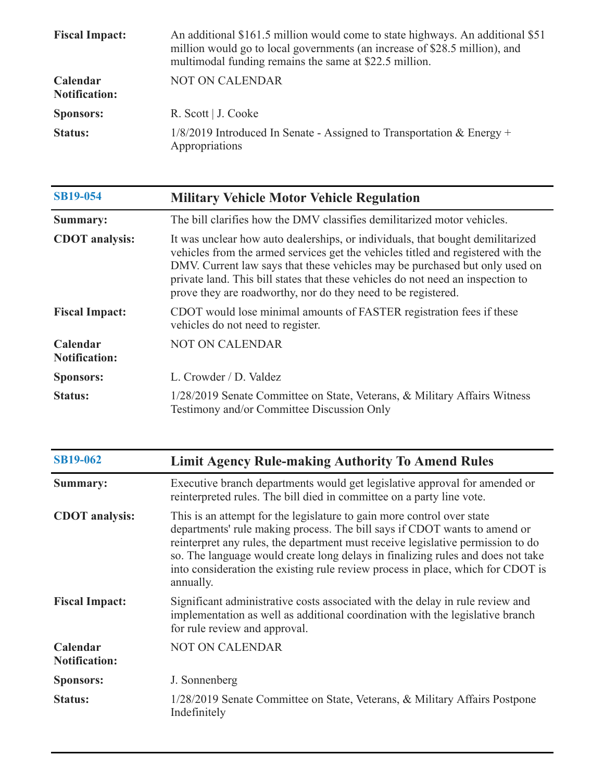| <b>Fiscal Impact:</b>            | An additional \$161.5 million would come to state highways. An additional \$51<br>million would go to local governments (an increase of \$28.5 million), and<br>multimodal funding remains the same at \$22.5 million. |
|----------------------------------|------------------------------------------------------------------------------------------------------------------------------------------------------------------------------------------------------------------------|
| Calendar<br><b>Notification:</b> | NOT ON CALENDAR                                                                                                                                                                                                        |
| <b>Sponsors:</b>                 | R. Scott   J. Cooke                                                                                                                                                                                                    |
| <b>Status:</b>                   | $1/8/2019$ Introduced In Senate - Assigned to Transportation & Energy +<br>Appropriations                                                                                                                              |

| <b>SB19-054</b>                  | <b>Military Vehicle Motor Vehicle Regulation</b>                                                                                                                                                                                                                                                                                                                                                      |
|----------------------------------|-------------------------------------------------------------------------------------------------------------------------------------------------------------------------------------------------------------------------------------------------------------------------------------------------------------------------------------------------------------------------------------------------------|
| Summary:                         | The bill clarifies how the DMV classifies demilitarized motor vehicles.                                                                                                                                                                                                                                                                                                                               |
| <b>CDOT</b> analysis:            | It was unclear how auto dealerships, or individuals, that bought demilitarized<br>vehicles from the armed services get the vehicles titled and registered with the<br>DMV. Current law says that these vehicles may be purchased but only used on<br>private land. This bill states that these vehicles do not need an inspection to<br>prove they are roadworthy, nor do they need to be registered. |
| <b>Fiscal Impact:</b>            | CDOT would lose minimal amounts of FASTER registration fees if these<br>vehicles do not need to register.                                                                                                                                                                                                                                                                                             |
| Calendar<br><b>Notification:</b> | <b>NOT ON CALENDAR</b>                                                                                                                                                                                                                                                                                                                                                                                |
| <b>Sponsors:</b>                 | L. Crowder / D. Valdez                                                                                                                                                                                                                                                                                                                                                                                |
| <b>Status:</b>                   | 1/28/2019 Senate Committee on State, Veterans, & Military Affairs Witness<br>Testimony and/or Committee Discussion Only                                                                                                                                                                                                                                                                               |

| <b>SB19-062</b>                  | <b>Limit Agency Rule-making Authority To Amend Rules</b>                                                                                                                                                                                                                                                                                                                                                                  |
|----------------------------------|---------------------------------------------------------------------------------------------------------------------------------------------------------------------------------------------------------------------------------------------------------------------------------------------------------------------------------------------------------------------------------------------------------------------------|
| Summary:                         | Executive branch departments would get legislative approval for amended or<br>reinterpreted rules. The bill died in committee on a party line vote.                                                                                                                                                                                                                                                                       |
| <b>CDOT</b> analysis:            | This is an attempt for the legislature to gain more control over state<br>departments' rule making process. The bill says if CDOT wants to amend or<br>reinterpret any rules, the department must receive legislative permission to do<br>so. The language would create long delays in finalizing rules and does not take<br>into consideration the existing rule review process in place, which for CDOT is<br>annually. |
| <b>Fiscal Impact:</b>            | Significant administrative costs associated with the delay in rule review and<br>implementation as well as additional coordination with the legislative branch<br>for rule review and approval.                                                                                                                                                                                                                           |
| Calendar<br><b>Notification:</b> | <b>NOT ON CALENDAR</b>                                                                                                                                                                                                                                                                                                                                                                                                    |
| <b>Sponsors:</b>                 | J. Sonnenberg                                                                                                                                                                                                                                                                                                                                                                                                             |
| <b>Status:</b>                   | 1/28/2019 Senate Committee on State, Veterans, & Military Affairs Postpone<br>Indefinitely                                                                                                                                                                                                                                                                                                                                |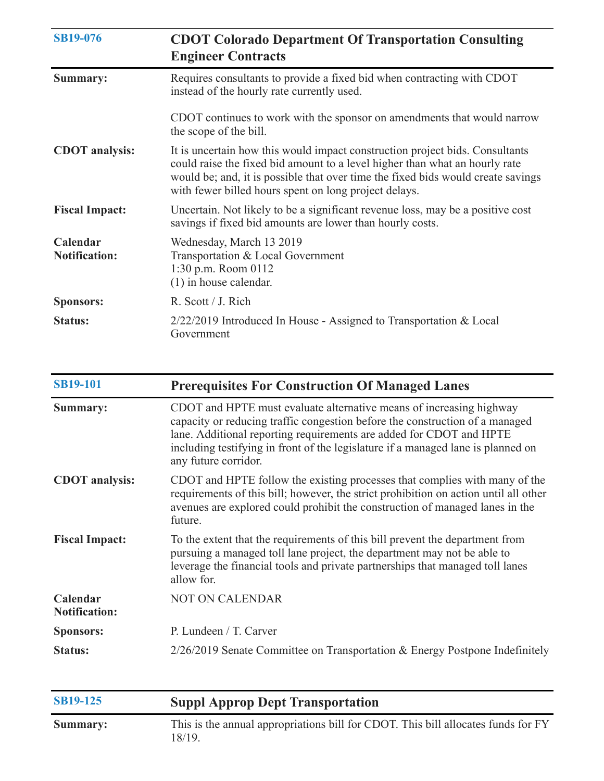| <b>SB19-076</b>                  | <b>CDOT Colorado Department Of Transportation Consulting</b><br><b>Engineer Contracts</b>                                                                                                                                                                                                                |
|----------------------------------|----------------------------------------------------------------------------------------------------------------------------------------------------------------------------------------------------------------------------------------------------------------------------------------------------------|
| <b>Summary:</b>                  | Requires consultants to provide a fixed bid when contracting with CDOT<br>instead of the hourly rate currently used.                                                                                                                                                                                     |
|                                  | CDOT continues to work with the sponsor on amendments that would narrow<br>the scope of the bill.                                                                                                                                                                                                        |
| <b>CDOT</b> analysis:            | It is uncertain how this would impact construction project bids. Consultants<br>could raise the fixed bid amount to a level higher than what an hourly rate<br>would be; and, it is possible that over time the fixed bids would create savings<br>with fewer billed hours spent on long project delays. |
| <b>Fiscal Impact:</b>            | Uncertain. Not likely to be a significant revenue loss, may be a positive cost<br>savings if fixed bid amounts are lower than hourly costs.                                                                                                                                                              |
| Calendar<br><b>Notification:</b> | Wednesday, March 13 2019<br>Transportation & Local Government<br>$1:30$ p.m. Room $0112$<br>$(1)$ in house calendar.                                                                                                                                                                                     |
| <b>Sponsors:</b>                 | R. Scott / J. Rich                                                                                                                                                                                                                                                                                       |
| <b>Status:</b>                   | $2/22/2019$ Introduced In House - Assigned to Transportation & Local<br>Government                                                                                                                                                                                                                       |

| <b>SB19-101</b>                  | <b>Prerequisites For Construction Of Managed Lanes</b>                                                                                                                                                                                                                                                                                 |
|----------------------------------|----------------------------------------------------------------------------------------------------------------------------------------------------------------------------------------------------------------------------------------------------------------------------------------------------------------------------------------|
| Summary:                         | CDOT and HPTE must evaluate alternative means of increasing highway<br>capacity or reducing traffic congestion before the construction of a managed<br>lane. Additional reporting requirements are added for CDOT and HPTE<br>including testifying in front of the legislature if a managed lane is planned on<br>any future corridor. |
| <b>CDOT</b> analysis:            | CDOT and HPTE follow the existing processes that complies with many of the<br>requirements of this bill; however, the strict prohibition on action until all other<br>avenues are explored could prohibit the construction of managed lanes in the<br>future.                                                                          |
| <b>Fiscal Impact:</b>            | To the extent that the requirements of this bill prevent the department from<br>pursuing a managed toll lane project, the department may not be able to<br>leverage the financial tools and private partnerships that managed toll lanes<br>allow for.                                                                                 |
| Calendar<br><b>Notification:</b> | <b>NOT ON CALENDAR</b>                                                                                                                                                                                                                                                                                                                 |
| <b>Sponsors:</b>                 | P. Lundeen / T. Carver                                                                                                                                                                                                                                                                                                                 |
| <b>Status:</b>                   | $2/26/2019$ Senate Committee on Transportation & Energy Postpone Indefinitely                                                                                                                                                                                                                                                          |
| <b>SB19-125</b>                  | <b>Suppl Approp Dept Transportation</b>                                                                                                                                                                                                                                                                                                |

| <b>Summary:</b> | This is the annual appropriations bill for CDOT. This bill allocates funds for FY<br>18/19. |
|-----------------|---------------------------------------------------------------------------------------------|
|                 |                                                                                             |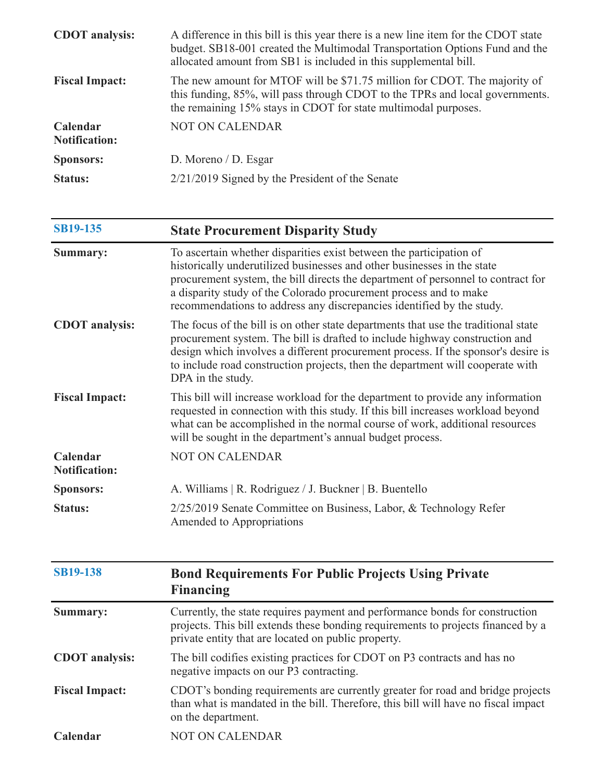| <b>CDOT</b> analysis:            | A difference in this bill is this year there is a new line item for the CDOT state<br>budget. SB18-001 created the Multimodal Transportation Options Fund and the<br>allocated amount from SB1 is included in this supplemental bill. |
|----------------------------------|---------------------------------------------------------------------------------------------------------------------------------------------------------------------------------------------------------------------------------------|
| <b>Fiscal Impact:</b>            | The new amount for MTOF will be \$71.75 million for CDOT. The majority of<br>this funding, 85%, will pass through CDOT to the TPRs and local governments.<br>the remaining 15% stays in CDOT for state multimodal purposes.           |
| Calendar<br><b>Notification:</b> | <b>NOT ON CALENDAR</b>                                                                                                                                                                                                                |
| <b>Sponsors:</b>                 | D. Moreno / D. Esgar                                                                                                                                                                                                                  |
| <b>Status:</b>                   | 2/21/2019 Signed by the President of the Senate                                                                                                                                                                                       |

| <b>SB19-135</b>                  | <b>State Procurement Disparity Study</b>                                                                                                                                                                                                                                                                                                                                         |
|----------------------------------|----------------------------------------------------------------------------------------------------------------------------------------------------------------------------------------------------------------------------------------------------------------------------------------------------------------------------------------------------------------------------------|
| Summary:                         | To ascertain whether disparities exist between the participation of<br>historically underutilized businesses and other businesses in the state<br>procurement system, the bill directs the department of personnel to contract for<br>a disparity study of the Colorado procurement process and to make<br>recommendations to address any discrepancies identified by the study. |
| <b>CDOT</b> analysis:            | The focus of the bill is on other state departments that use the traditional state<br>procurement system. The bill is drafted to include highway construction and<br>design which involves a different procurement process. If the sponsor's desire is<br>to include road construction projects, then the department will cooperate with<br>DPA in the study.                    |
| <b>Fiscal Impact:</b>            | This bill will increase workload for the department to provide any information<br>requested in connection with this study. If this bill increases workload beyond<br>what can be accomplished in the normal course of work, additional resources<br>will be sought in the department's annual budget process.                                                                    |
| Calendar<br><b>Notification:</b> | <b>NOT ON CALENDAR</b>                                                                                                                                                                                                                                                                                                                                                           |
| <b>Sponsors:</b>                 | A. Williams   R. Rodriguez / J. Buckner   B. Buentello                                                                                                                                                                                                                                                                                                                           |
| <b>Status:</b>                   | 2/25/2019 Senate Committee on Business, Labor, & Technology Refer<br>Amended to Appropriations                                                                                                                                                                                                                                                                                   |
|                                  |                                                                                                                                                                                                                                                                                                                                                                                  |
| <b>SB19-138</b>                  | <b>Bond Requirements For Public Projects Using Private</b><br><b>Financing</b>                                                                                                                                                                                                                                                                                                   |
| Summary:                         | Currently, the state requires payment and performance bonds for construction<br>projects. This bill extends these bonding requirements to projects financed by a                                                                                                                                                                                                                 |

|                       | projects. This only executes these containg requirements to projects mitaneca by a<br>private entity that are located on public property.                                                  |
|-----------------------|--------------------------------------------------------------------------------------------------------------------------------------------------------------------------------------------|
| <b>CDOT</b> analysis: | The bill codifies existing practices for CDOT on P3 contracts and has no<br>negative impacts on our P3 contracting.                                                                        |
| <b>Fiscal Impact:</b> | CDOT's bonding requirements are currently greater for road and bridge projects<br>than what is mandated in the bill. Therefore, this bill will have no fiscal impact<br>on the department. |
| Calendar              | <b>NOT ON CALENDAR</b>                                                                                                                                                                     |